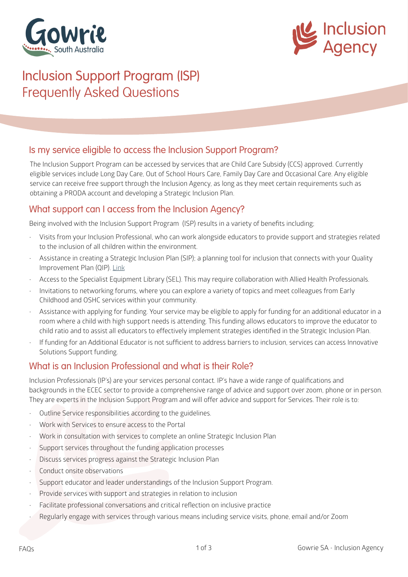



## Inclusion Support Program (ISP) Frequently Asked Questions

### Is my service eligible to access the Inclusion Support Program?

The Inclusion Support Program can be accessed by services that are Child Care Subsidy (CCS) approved. Currently eligible services include Long Day Care, Out of School Hours Care, Family Day Care and Occasional Care. Any eligible service can receive free support through the Inclusion Agency, as long as they meet certain requirements such as obtaining a PRODA account and developing a Strategic Inclusion Plan.

#### What support can I access from the Inclusion Agency?

Being involved with the Inclusion Support Program (ISP) results in a variety of benefits including;

- Visits from your Inclusion Professional, who can work alongside educators to provide support and strategies related to the inclusion of all children within the environment.
- Assistance in creating a Strategic Inclusion Plan (SIP); a planning tool for inclusion that connects with your Quality Improvement Plan (QIP). [Link](https://gowriesa.org.au/docs/BSA-Template-1-with-Reflective-Questions-2020.docx#asset:1940)
- Access to the Specialist Equipment Library (SEL). This may require collaboration with Allied Health Professionals.
- Invitations to networking forums, where you can explore a variety of topics and meet colleagues from Early Childhood and OSHC services within your community.
- Assistance with applying for funding. Your service may be eligible to apply for funding for an additional educator in a room where a child with high support needs is attending. This funding allows educators to improve the educator to child ratio and to assist all educators to effectively implement strategies identified in the Strategic Inclusion Plan.
- If funding for an Additional Educator is not sufficient to address barriers to inclusion, services can access Innovative Solutions Support funding.

### What is an Inclusion Professional and what is their Role?

Inclusion Professionals (IP's) are your services personal contact. IP's have a wide range of qualifications and backgrounds in the ECEC sector to provide a comprehensive range of advice and support over zoom, phone or in person. They are experts in the Inclusion Support Program and will offer advice and support for Services. Their role is to:

- Outline Service responsibilities according to the guidelines.
- Work with Services to ensure access to the Portal
- Work in consultation with services to complete an online Strategic Inclusion Plan
- Support services throughout the funding application processes
- Discuss services progress against the Strategic Inclusion Plan
- Conduct onsite observations
- Support educator and leader understandings of the Inclusion Support Program.
- Provide services with support and strategies in relation to inclusion
- Facilitate professional conversations and critical reflection on inclusive practice
- Regularly engage with services through various means including service visits, phone, email and/or Zoom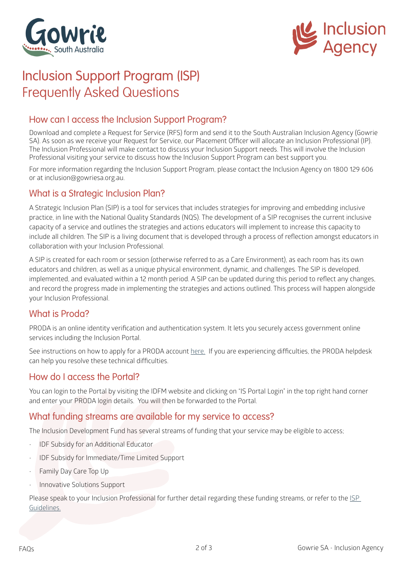



# Inclusion Support Program (ISP) Frequently Asked Questions

## How can I access the Inclusion Support Program?

Download and complete a Request for Service (RFS) form and send it to the South Australian Inclusion Agency (Gowrie SA). As soon as we receive your Request for Service, our Placement Officer will allocate an Inclusion Professional (IP). The Inclusion Professional will make contact to discuss your Inclusion Support needs. This will involve the Inclusion Professional visiting your service to discuss how the Inclusion Support Program can best support you.

For more information regarding the Inclusion Support Program, please contact the Inclusion Agency on 1800 129 606 or at inclusion@gowriesa.org.au.

#### What is a Strategic Inclusion Plan?

A Strategic Inclusion Plan (SIP) is a tool for services that includes strategies for improving and embedding inclusive practice, in line with the National Quality Standards (NQS). The development of a SIP recognises the current inclusive capacity of a service and outlines the strategies and actions educators will implement to increase this capacity to include all children. The SIP is a living document that is developed through a process of reflection amongst educators in collaboration with your Inclusion Professional.

A SIP is created for each room or session (otherwise referred to as a Care Environment), as each room has its own educators and children, as well as a unique physical environment, dynamic, and challenges. The SIP is developed, implemented, and evaluated within a 12 month period. A SIP can be updated during this period to reflect any changes, and record the progress made in implementing the strategies and actions outlined. This process will happen alongside your Inclusion Professional.

### What is Proda?

PRODA is an online identity verification and authentication system. It lets you securely access government online services including the Inclusion Portal.

See instructions on how to apply for a PRODA account [here.](https://gowriesa.org.au/docs/Obtaining-a-PRODA-Account-Web.pdf#asset:1956) If you are experiencing difficulties, the PRODA helpdesk can help you resolve these technical difficulties.

### How do I access the Portal?

You can login to the Portal by visiting the IDFM website and clicking on "IS Portal Login" in the top right hand corner and enter your PRODA login details. You will then be forwarded to the Portal.

#### What funding streams are available for my service to access?

The Inclusion Development Fund has several streams of funding that your service may be eligible to access;

- IDF Subsidy for an Additional Educator
- IDF Subsidy for Immediate/Time Limited Support
- Family Day Care Top Up
- Innovative Solutions Support

Please speak to your Inclusion Professional for further detail regarding these funding streams, or refer to the ISP [Guidelines.](https://www.dese.gov.au/child-care-package/resources/inclusion-support-program-isp-guidelines)